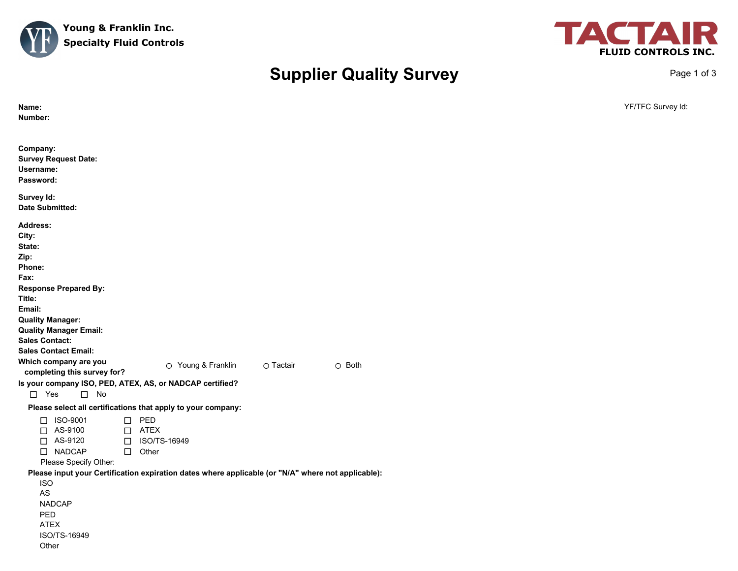



Page 1 of 3

## **Supplier Quality Survey**

| Name:<br>Number:                                                                                                                                                                                                                                                                                                                                                                                                                          | YF/TFC Survey Id: |
|-------------------------------------------------------------------------------------------------------------------------------------------------------------------------------------------------------------------------------------------------------------------------------------------------------------------------------------------------------------------------------------------------------------------------------------------|-------------------|
| Company:<br><b>Survey Request Date:</b><br>Username:<br>Password:                                                                                                                                                                                                                                                                                                                                                                         |                   |
| Survey Id:<br><b>Date Submitted:</b>                                                                                                                                                                                                                                                                                                                                                                                                      |                   |
| <b>Address:</b><br>City:<br>State:<br>Zip:<br>Phone:<br>Fax:<br><b>Response Prepared By:</b><br>Title:<br>Email:<br><b>Quality Manager:</b><br><b>Quality Manager Email:</b><br><b>Sales Contact:</b><br><b>Sales Contact Email:</b><br>Which company are you<br>O Young & Franklin<br>O Tactair<br>$\circ$ Both<br>completing this survey for?<br>Is your company ISO, PED, ATEX, AS, or NADCAP certified?<br>$\Box$ Yes<br>$\square$ No |                   |
| Please select all certifications that apply to your company:                                                                                                                                                                                                                                                                                                                                                                              |                   |
| $\square$ PED<br>□ ISO-9001<br>AS-9100<br>$\Box$ ATEX<br>$\Box$<br>$\Box$ AS-9120<br>□ ISO/TS-16949<br>□ NADCAP<br>$\Box$ Other<br>Please Specify Other:                                                                                                                                                                                                                                                                                  |                   |
| Please input your Certification expiration dates where applicable (or "N/A" where not applicable):<br><b>ISO</b><br>AS<br><b>NADCAP</b><br>PED<br><b>ATEX</b><br>ISO/TS-16949<br>Other                                                                                                                                                                                                                                                    |                   |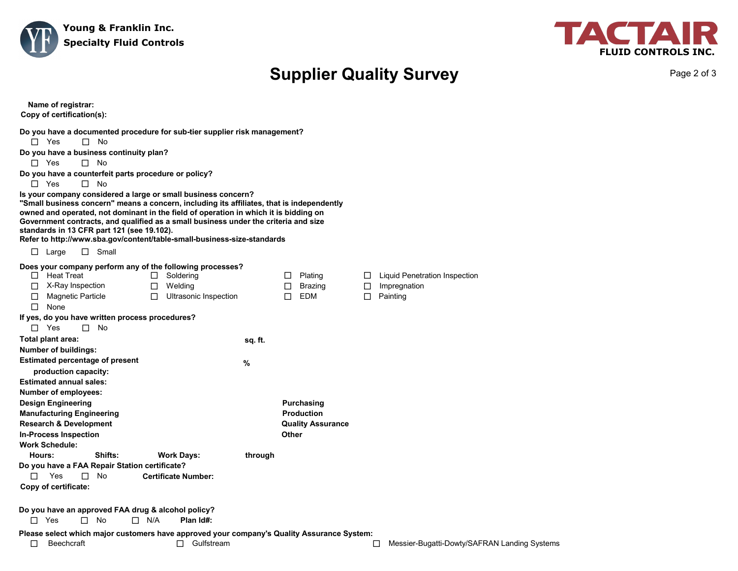



## **Supplier Quality Survey**

Page 2 of 3

| Name of registrar:<br>Copy of certification(s):                                                                                                                                                                                                                                                                                                                                                                                                                                                                                                                                                                                                                                                                                                           |         |                                                                             |                                                                                      |
|-----------------------------------------------------------------------------------------------------------------------------------------------------------------------------------------------------------------------------------------------------------------------------------------------------------------------------------------------------------------------------------------------------------------------------------------------------------------------------------------------------------------------------------------------------------------------------------------------------------------------------------------------------------------------------------------------------------------------------------------------------------|---------|-----------------------------------------------------------------------------|--------------------------------------------------------------------------------------|
| Do you have a documented procedure for sub-tier supplier risk management?<br>$\Box$ Yes<br>$\square$ No<br>Do you have a business continuity plan?<br>$\Box$ Yes<br>$\Box$ No<br>Do you have a counterfeit parts procedure or policy?<br>$\Box$ Yes<br>$\square$ No<br>Is your company considered a large or small business concern?<br>"Small business concern" means a concern, including its affiliates, that is independently<br>owned and operated, not dominant in the field of operation in which it is bidding on<br>Government contracts, and qualified as a small business under the criteria and size<br>standards in 13 CFR part 121 (see 19.102).<br>Refer to http://www.sba.gov/content/table-small-business-size-standards<br>$\Box$ Small |         |                                                                             |                                                                                      |
| $\Box$ Large<br>Does your company perform any of the following processes?<br>$\Box$ Heat Treat<br>Soldering<br>$\Box$<br>$\Box$ X-Ray Inspection<br>Welding<br>$\Box$<br><b>Magnetic Particle</b><br>$\Box$<br>Ultrasonic Inspection<br>□<br>$\Box$ None<br>If yes, do you have written process procedures?<br>$\square$ Yes<br>$\square$ No                                                                                                                                                                                                                                                                                                                                                                                                              |         | Plating<br>$\Box$<br><b>Brazing</b><br>$\Box$<br>EDM<br>$\Box$              | Liquid Penetration Inspection<br>$\Box$<br>Impregnation<br>$\Box$<br>$\Box$ Painting |
| Total plant area:<br>Number of buildings:<br><b>Estimated percentage of present</b>                                                                                                                                                                                                                                                                                                                                                                                                                                                                                                                                                                                                                                                                       | sq. ft. |                                                                             |                                                                                      |
| production capacity:<br><b>Estimated annual sales:</b><br>Number of employees:<br><b>Design Engineering</b><br><b>Manufacturing Engineering</b><br><b>Research &amp; Development</b><br><b>In-Process Inspection</b><br><b>Work Schedule:</b>                                                                                                                                                                                                                                                                                                                                                                                                                                                                                                             | $\%$    | <b>Purchasing</b><br><b>Production</b><br><b>Quality Assurance</b><br>Other |                                                                                      |
| Shifts:<br>Hours:<br><b>Work Days:</b><br>Do you have a FAA Repair Station certificate?<br>Yes<br><b>Certificate Number:</b><br>П.<br>П.<br>No<br>Copy of certificate:                                                                                                                                                                                                                                                                                                                                                                                                                                                                                                                                                                                    | through |                                                                             |                                                                                      |
| Do you have an approved FAA drug & alcohol policy?<br>$\Box$ Yes<br>$\Box$ N/A<br>Plan Id#:<br>$\Box$<br>No                                                                                                                                                                                                                                                                                                                                                                                                                                                                                                                                                                                                                                               |         |                                                                             |                                                                                      |
| Please select which major customers have approved your company's Quality Assurance System:<br>$\Box$ Gulfstream<br>□<br><b>Beechcraft</b>                                                                                                                                                                                                                                                                                                                                                                                                                                                                                                                                                                                                                 |         |                                                                             | Messier-Bugatti-Dowty/SAFRAN Landing Systems<br>□                                    |